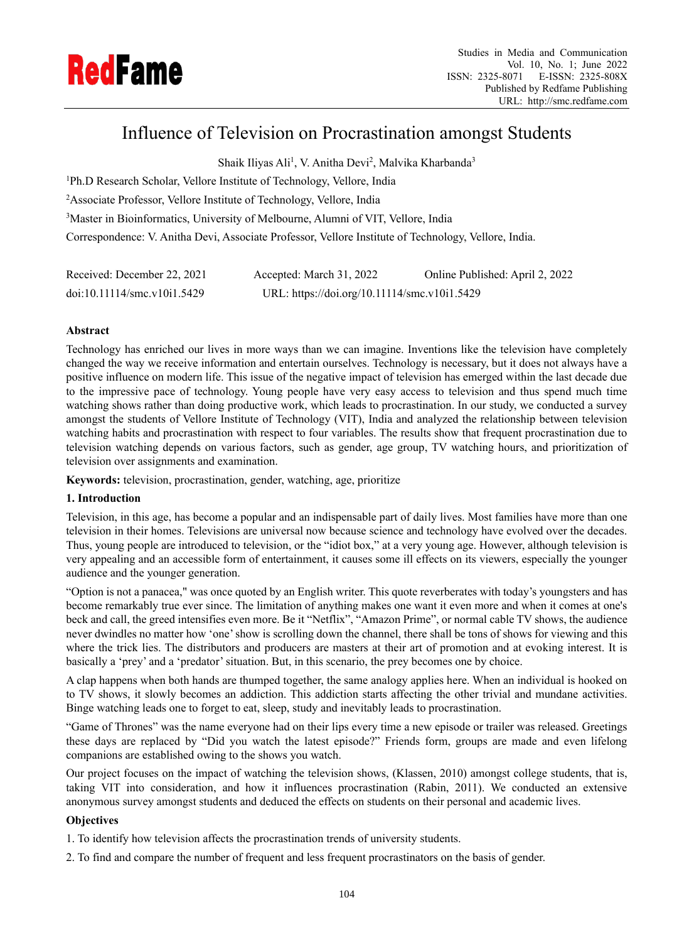

# Influence of Television on Procrastination amongst Students

Shaik Iliyas Ali<sup>1</sup>, V. Anitha Devi<sup>2</sup>, Malvika Kharbanda<sup>3</sup>

Ph.D Research Scholar, Vellore Institute of Technology, Vellore, India Associate Professor, Vellore Institute of Technology, Vellore, India Master in Bioinformatics, University of Melbourne, Alumni of VIT, Vellore, India Correspondence: V. Anitha Devi, Associate Professor, Vellore Institute of Technology, Vellore, India.

| Received: December 22, 2021 | Accepted: March 31, 2022                     | Online Published: April 2, 2022 |
|-----------------------------|----------------------------------------------|---------------------------------|
| doi:10.11114/smc.v10i1.5429 | URL: https://doi.org/10.11114/smc.v10i1.5429 |                                 |

# **Abstract**

Technology has enriched our lives in more ways than we can imagine. Inventions like the television have completely changed the way we receive information and entertain ourselves. Technology is necessary, but it does not always have a positive influence on modern life. This issue of the negative impact of television has emerged within the last decade due to the impressive pace of technology. Young people have very easy access to television and thus spend much time watching shows rather than doing productive work, which leads to procrastination. In our study, we conducted a survey amongst the students of Vellore Institute of Technology (VIT), India and analyzed the relationship between television watching habits and procrastination with respect to four variables. The results show that frequent procrastination due to television watching depends on various factors, such as gender, age group, TV watching hours, and prioritization of television over assignments and examination.

**Keywords:** television, procrastination, gender, watching, age, prioritize

# **1. Introduction**

Television, in this age, has become a popular and an indispensable part of daily lives. Most families have more than one television in their homes. Televisions are universal now because science and technology have evolved over the decades. Thus, young people are introduced to television, or the "idiot box," at a very young age. However, although television is very appealing and an accessible form of entertainment, it causes some ill effects on its viewers, especially the younger audience and the younger generation.

"Option is not a panacea," was once quoted by an English writer. This quote reverberates with today's youngsters and has become remarkably true ever since. The limitation of anything makes one want it even more and when it comes at one's beck and call, the greed intensifies even more. Be it "Netflix", "Amazon Prime", or normal cable TV shows, the audience never dwindles no matter how 'one' show is scrolling down the channel, there shall be tons of shows for viewing and this where the trick lies. The distributors and producers are masters at their art of promotion and at evoking interest. It is basically a 'prey' and a 'predator' situation. But, in this scenario, the prey becomes one by choice.

A clap happens when both hands are thumped together, the same analogy applies here. When an individual is hooked on to TV shows, it slowly becomes an addiction. This addiction starts affecting the other trivial and mundane activities. Binge watching leads one to forget to eat, sleep, study and inevitably leads to procrastination.

"Game of Thrones" was the name everyone had on their lips every time a new episode or trailer was released. Greetings these days are replaced by "Did you watch the latest episode?" Friends form, groups are made and even lifelong companions are established owing to the shows you watch.

Our project focuses on the impact of watching the television shows, (Klassen, 2010) amongst college students, that is, taking VIT into consideration, and how it influences procrastination (Rabin, 2011). We conducted an extensive anonymous survey amongst students and deduced the effects on students on their personal and academic lives.

# **Objectives**

1. To identify how television affects the procrastination trends of university students.

2. To find and compare the number of frequent and less frequent procrastinators on the basis of gender.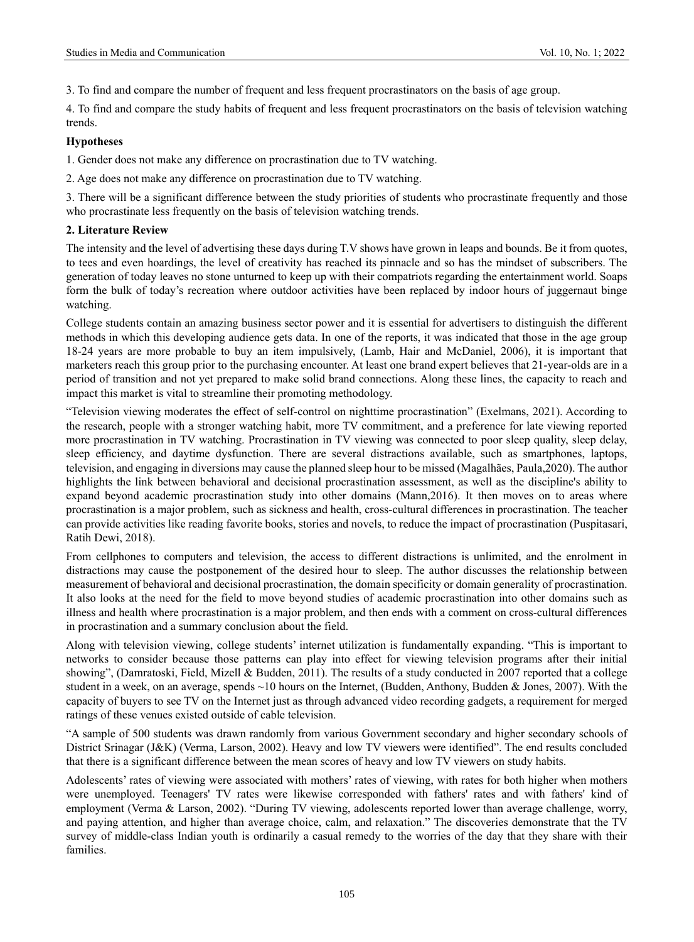3. To find and compare the number of frequent and less frequent procrastinators on the basis of age group.

4. To find and compare the study habits of frequent and less frequent procrastinators on the basis of television watching trends.

## **Hypotheses**

1. Gender does not make any difference on procrastination due to TV watching.

2. Age does not make any difference on procrastination due to TV watching.

3. There will be a significant difference between the study priorities of students who procrastinate frequently and those who procrastinate less frequently on the basis of television watching trends.

### **2. Literature Review**

The intensity and the level of advertising these days during T.V shows have grown in leaps and bounds. Be it from quotes, to tees and even hoardings, the level of creativity has reached its pinnacle and so has the mindset of subscribers. The generation of today leaves no stone unturned to keep up with their compatriots regarding the entertainment world. Soaps form the bulk of today's recreation where outdoor activities have been replaced by indoor hours of juggernaut binge watching.

College students contain an amazing business sector power and it is essential for advertisers to distinguish the different methods in which this developing audience gets data. In one of the reports, it was indicated that those in the age group 18-24 years are more probable to buy an item impulsively, (Lamb, Hair and McDaniel, 2006), it is important that marketers reach this group prior to the purchasing encounter. At least one brand expert believes that 21-year-olds are in a period of transition and not yet prepared to make solid brand connections. Along these lines, the capacity to reach and impact this market is vital to streamline their promoting methodology.

"Television viewing moderates the effect of self-control on nighttime procrastination" (Exelmans, 2021). According to the research, people with a stronger watching habit, more TV commitment, and a preference for late viewing reported more procrastination in TV watching. Procrastination in TV viewing was connected to poor sleep quality, sleep delay, sleep efficiency, and daytime dysfunction. There are several distractions available, such as smartphones, laptops, television, and engaging in diversions may cause the planned sleep hour to be missed (Magalhães, Paula,2020). The author highlights the link between behavioral and decisional procrastination assessment, as well as the discipline's ability to expand beyond academic procrastination study into other domains (Mann,2016). It then moves on to areas where procrastination is a major problem, such as sickness and health, cross-cultural differences in procrastination. The teacher can provide activities like reading favorite books, stories and novels, to reduce the impact of procrastination (Puspitasari, Ratih Dewi, 2018).

From cellphones to computers and television, the access to different distractions is unlimited, and the enrolment in distractions may cause the postponement of the desired hour to sleep. The author discusses the relationship between measurement of behavioral and decisional procrastination, the domain specificity or domain generality of procrastination. It also looks at the need for the field to move beyond studies of academic procrastination into other domains such as illness and health where procrastination is a major problem, and then ends with a comment on cross-cultural differences in procrastination and a summary conclusion about the field.

Along with television viewing, college students' internet utilization is fundamentally expanding. "This is important to networks to consider because those patterns can play into effect for viewing television programs after their initial showing", (Damratoski, Field, Mizell & Budden, 2011). The results of a study conducted in 2007 reported that a college student in a week, on an average, spends ~10 hours on the Internet, (Budden, Anthony, Budden & Jones, 2007). With the capacity of buyers to see TV on the Internet just as through advanced video recording gadgets, a requirement for merged ratings of these venues existed outside of cable television.

"A sample of 500 students was drawn randomly from various Government secondary and higher secondary schools of District Srinagar (J&K) (Verma, Larson, 2002). Heavy and low TV viewers were identified". The end results concluded that there is a significant difference between the mean scores of heavy and low TV viewers on study habits.

Adolescents' rates of viewing were associated with mothers' rates of viewing, with rates for both higher when mothers were unemployed. Teenagers' TV rates were likewise corresponded with fathers' rates and with fathers' kind of employment (Verma & Larson, 2002). "During TV viewing, adolescents reported lower than average challenge, worry, and paying attention, and higher than average choice, calm, and relaxation." The discoveries demonstrate that the TV survey of middle-class Indian youth is ordinarily a casual remedy to the worries of the day that they share with their families.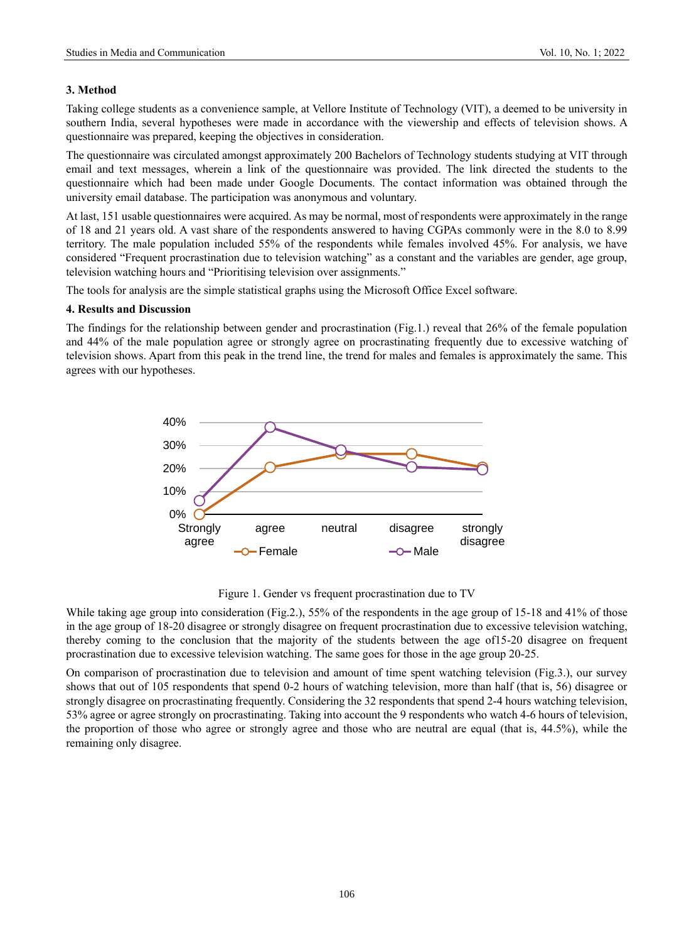## **3. Method**

Taking college students as a convenience sample, at Vellore Institute of Technology (VIT), a deemed to be university in southern India, several hypotheses were made in accordance with the viewership and effects of television shows. A questionnaire was prepared, keeping the objectives in consideration.

The questionnaire was circulated amongst approximately 200 Bachelors of Technology students studying at VIT through email and text messages, wherein a link of the questionnaire was provided. The link directed the students to the questionnaire which had been made under Google Documents. The contact information was obtained through the university email database. The participation was anonymous and voluntary.

At last, 151 usable questionnaires were acquired. As may be normal, most of respondents were approximately in the range of 18 and 21 years old. A vast share of the respondents answered to having CGPAs commonly were in the 8.0 to 8.99 territory. The male population included 55% of the respondents while females involved 45%. For analysis, we have considered "Frequent procrastination due to television watching" as a constant and the variables are gender, age group, television watching hours and "Prioritising television over assignments."

The tools for analysis are the simple statistical graphs using the Microsoft Office Excel software.

#### **4. Results and Discussion**

The findings for the relationship between gender and procrastination (Fig.1.) reveal that 26% of the female population and 44% of the male population agree or strongly agree on procrastinating frequently due to excessive watching of television shows. Apart from this peak in the trend line, the trend for males and females is approximately the same. This agrees with our hypotheses.



Figure 1. Gender vs frequent procrastination due to TV

While taking age group into consideration (Fig.2.), 55% of the respondents in the age group of 15-18 and 41% of those in the age group of 18-20 disagree or strongly disagree on frequent procrastination due to excessive television watching, thereby coming to the conclusion that the majority of the students between the age of15-20 disagree on frequent procrastination due to excessive television watching. The same goes for those in the age group 20-25.

On comparison of procrastination due to television and amount of time spent watching television (Fig.3.), our survey shows that out of 105 respondents that spend 0-2 hours of watching television, more than half (that is, 56) disagree or strongly disagree on procrastinating frequently. Considering the 32 respondents that spend 2-4 hours watching television, 53% agree or agree strongly on procrastinating. Taking into account the 9 respondents who watch 4-6 hours of television, the proportion of those who agree or strongly agree and those who are neutral are equal (that is, 44.5%), while the remaining only disagree.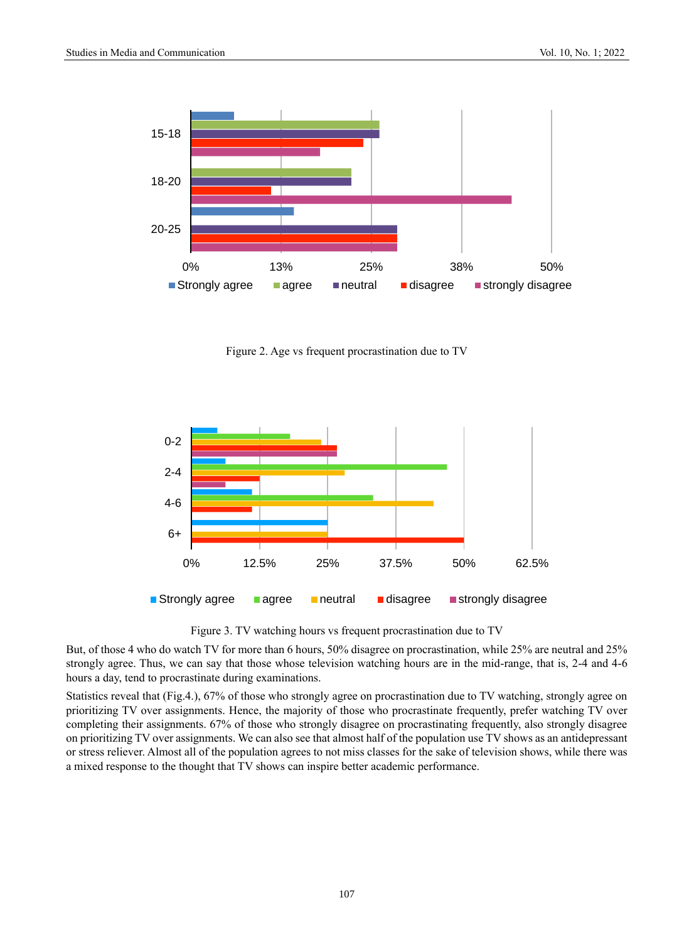

Figure 2. Age vs frequent procrastination due to TV



Figure 3. TV watching hours vs frequent procrastination due to TV

But, of those 4 who do watch TV for more than 6 hours, 50% disagree on procrastination, while 25% are neutral and 25% strongly agree. Thus, we can say that those whose television watching hours are in the mid-range, that is, 2-4 and 4-6 hours a day, tend to procrastinate during examinations.

Statistics reveal that (Fig.4.), 67% of those who strongly agree on procrastination due to TV watching, strongly agree on prioritizing TV over assignments. Hence, the majority of those who procrastinate frequently, prefer watching TV over completing their assignments. 67% of those who strongly disagree on procrastinating frequently, also strongly disagree on prioritizing TV over assignments. We can also see that almost half of the population use TV shows as an antidepressant or stress reliever. Almost all of the population agrees to not miss classes for the sake of television shows, while there was a mixed response to the thought that TV shows can inspire better academic performance.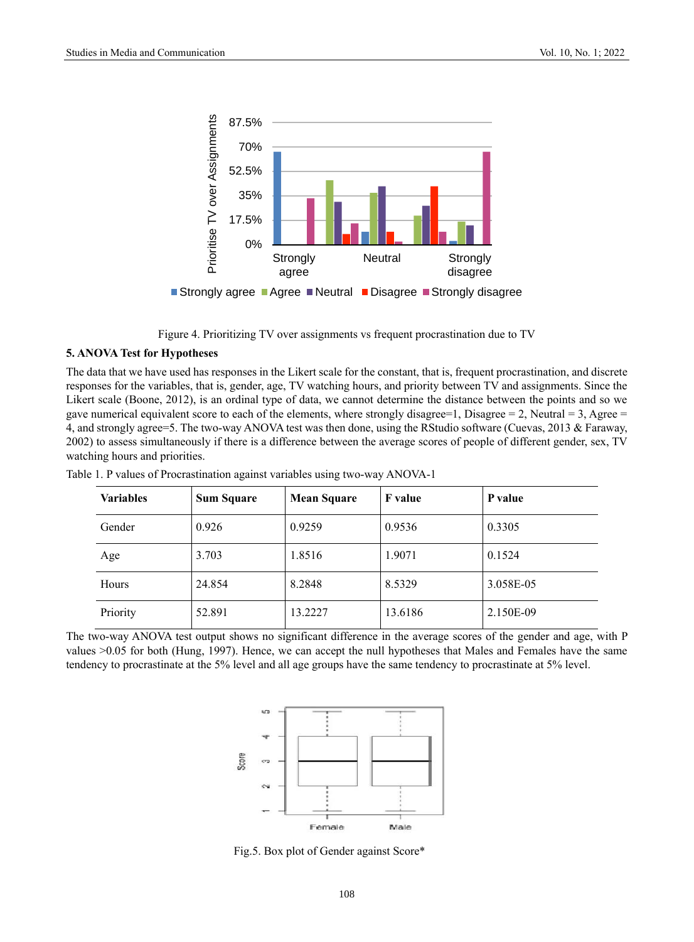

Figure 4. Prioritizing TV over assignments vs frequent procrastination due to TV

## **5. ANOVA Test for Hypotheses**

The data that we have used has responses in the Likert scale for the constant, that is, frequent procrastination, and discrete responses for the variables, that is, gender, age, TV watching hours, and priority between TV and assignments. Since the Likert scale (Boone, 2012), is an ordinal type of data, we cannot determine the distance between the points and so we gave numerical equivalent score to each of the elements, where strongly disagree=1, Disagree = 2, Neutral = 3, Agree = 4, and strongly agree=5. The two-way ANOVA test was then done, using the RStudio software (Cuevas, 2013 & Faraway, 2002) to assess simultaneously if there is a difference between the average scores of people of different gender, sex, TV watching hours and priorities.

| <b>Variables</b> | <b>Sum Square</b> | <b>Mean Square</b> | <b>F</b> value | P value   |
|------------------|-------------------|--------------------|----------------|-----------|
| Gender           | 0.926             | 0.9259             | 0.9536         | 0.3305    |
| Age              | 3.703             | 1.8516             | 1.9071         | 0.1524    |
| Hours            | 24.854            | 8.2848             | 8.5329         | 3.058E-05 |
| Priority         | 52.891            | 13.2227            | 13.6186        | 2.150E-09 |

Table 1. P values of Procrastination against variables using two-way ANOVA-1

The two-way ANOVA test output shows no significant difference in the average scores of the gender and age, with P values >0.05 for both (Hung, 1997). Hence, we can accept the null hypotheses that Males and Females have the same tendency to procrastinate at the 5% level and all age groups have the same tendency to procrastinate at 5% level.



Fig.5. Box plot of Gender against Score\*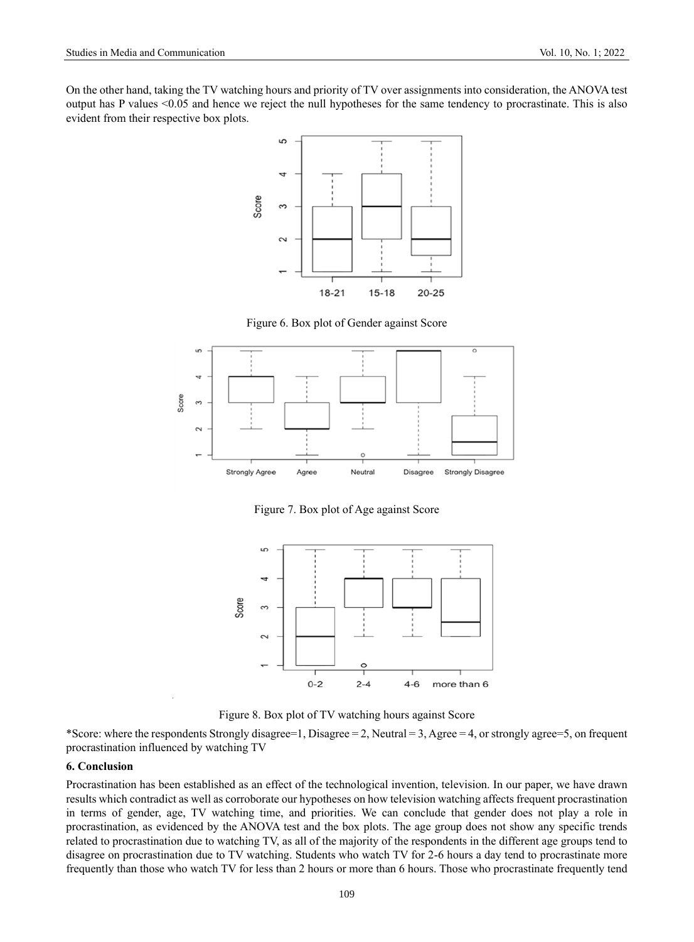On the other hand, taking the TV watching hours and priority of TV over assignments into consideration, the ANOVA test output has P values <0.05 and hence we reject the null hypotheses for the same tendency to procrastinate. This is also evident from their respective box plots.



Figure 6. Box plot of Gender against Score



Figure 7. Box plot of Age against Score



Figure 8. Box plot of TV watching hours against Score

\*Score: where the respondents Strongly disagree=1, Disagree = 2, Neutral = 3, Agree = 4, or strongly agree=5, on frequent procrastination influenced by watching TV

#### **6. Conclusion**

Procrastination has been established as an effect of the technological invention, television. In our paper, we have drawn results which contradict as well as corroborate our hypotheses on how television watching affects frequent procrastination in terms of gender, age, TV watching time, and priorities. We can conclude that gender does not play a role in procrastination, as evidenced by the ANOVA test and the box plots. The age group does not show any specific trends related to procrastination due to watching TV, as all of the majority of the respondents in the different age groups tend to disagree on procrastination due to TV watching. Students who watch TV for 2-6 hours a day tend to procrastinate more frequently than those who watch TV for less than 2 hours or more than 6 hours. Those who procrastinate frequently tend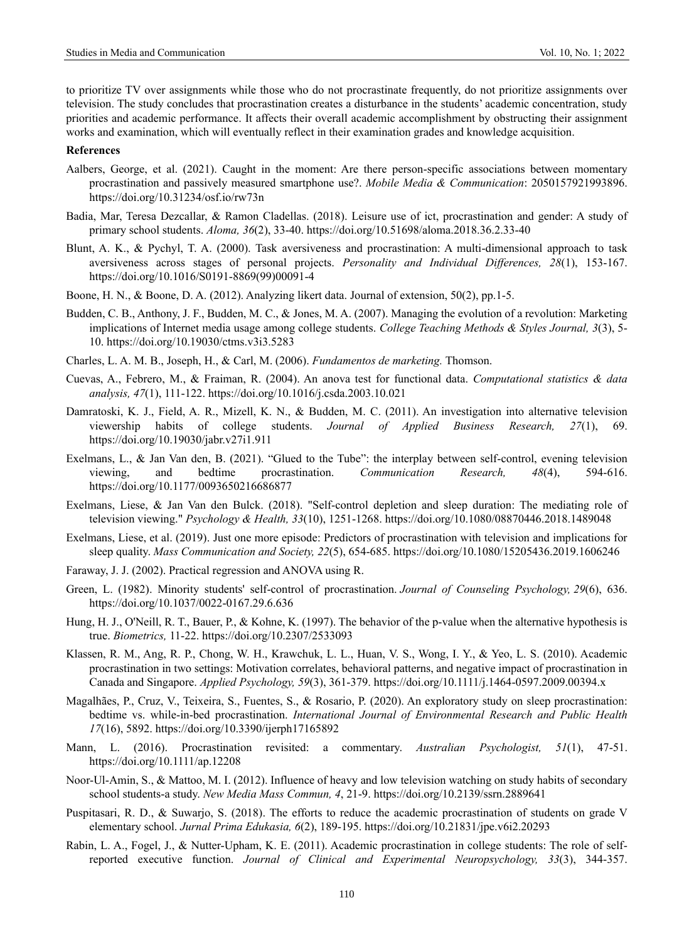to prioritize TV over assignments while those who do not procrastinate frequently, do not prioritize assignments over television. The study concludes that procrastination creates a disturbance in the students' academic concentration, study priorities and academic performance. It affects their overall academic accomplishment by obstructing their assignment works and examination, which will eventually reflect in their examination grades and knowledge acquisition.

#### **References**

- Aalbers, George, et al. (2021). Caught in the moment: Are there person-specific associations between momentary procrastination and passively measured smartphone use?. *Mobile Media & Communication*: 2050157921993896. <https://doi.org/10.31234/osf.io/rw73n>
- Badia, Mar, Teresa Dezcallar, & Ramon Cladellas. (2018). Leisure use of ict, procrastination and gender: A study of primary school students. *Aloma, 36*(2), 33-40. <https://doi.org/10.51698/aloma.2018.36.2.33-40>
- Blunt, A. K., & Pychyl, T. A. (2000). Task aversiveness and procrastination: A multi-dimensional approach to task aversiveness across stages of personal projects. *Personality and Individual Differences, 28*(1), 153-167. [https://doi.org/10.1016/S0191-8869\(99\)00091-4](https://doi.org/10.1016/S0191-8869(99)00091-4)
- Boone, H. N., & Boone, D. A. (2012). Analyzing likert data. Journal of extension, 50(2), pp.1-5.
- Budden, C. B., Anthony, J. F., Budden, M. C., & Jones, M. A. (2007). Managing the evolution of a revolution: Marketing implications of Internet media usage among college students. *College Teaching Methods & Styles Journal*, 3(3), 5-10. <https://doi.org/10.19030/ctms.v3i3.5283>
- Charles, L. A. M. B., Joseph, H., & Carl, M. (2006). *Fundamentos de marketing.* Thomson.
- Cuevas, A., Febrero, M., & Fraiman, R. (2004). An anova test for functional data. *Computational statistics & data analysis, 47*(1), 111-122. <https://doi.org/10.1016/j.csda.2003.10.021>
- Damratoski, K. J., Field, A. R., Mizell, K. N., & Budden, M. C. (2011). An investigation into alternative television viewership habits of college students. *Journal of Applied Business Research, 27*(1), 69. <https://doi.org/10.19030/jabr.v27i1.911>
- Exelmans, L., & Jan Van den, B. (2021). "Glued to the Tube": the interplay between self-control, evening television viewing, and bedtime procrastination. *Communication Research, 48*(4), 594-616. <https://doi.org/10.1177/0093650216686877>
- Exelmans, Liese, & Jan Van den Bulck. (2018). "Self-control depletion and sleep duration: The mediating role of television viewing." *Psychology & Health, 33*(10), 1251-1268. <https://doi.org/10.1080/08870446.2018.1489048>
- Exelmans, Liese, et al. (2019). Just one more episode: Predictors of procrastination with television and implications for sleep quality. *Mass Communication and Society, 22*(5), 654-685. <https://doi.org/10.1080/15205436.2019.1606246>
- Faraway, J. J. (2002). Practical regression and ANOVA using R.
- Green, L. (1982). Minority students' self-control of procrastination. *Journal of Counseling Psychology, 29*(6), 636. <https://doi.org/10.1037/0022-0167.29.6.636>
- Hung, H. J., O'Neill, R. T., Bauer, P., & Kohne, K. (1997). The behavior of the p-value when the alternative hypothesis is true. *Biometrics,* 11-22. <https://doi.org/10.2307/2533093>
- Klassen, R. M., Ang, R. P., Chong, W. H., Krawchuk, L. L., Huan, V. S., Wong, I. Y., & Yeo, L. S. (2010). Academic procrastination in two settings: Motivation correlates, behavioral patterns, and negative impact of procrastination in Canada and Singapore. *Applied Psychology, 59*(3), 361-379. <https://doi.org/10.1111/j.1464-0597.2009.00394.x>
- Magalhães, P., Cruz, V., Teixeira, S., Fuentes, S., & Rosario, P. (2020). An exploratory study on sleep procrastination: bedtime vs. while-in-bed procrastination. *International Journal of Environmental Research and Public Health 17*(16), 5892. <https://doi.org/10.3390/ijerph17165892>
- Mann, L. (2016). Procrastination revisited: a commentary. *Australian Psychologist, 51*(1), 47-51. <https://doi.org/10.1111/ap.12208>
- Noor-Ul-Amin, S., & Mattoo, M. I. (2012). Influence of heavy and low television watching on study habits of secondary school students-a study. *New Media Mass Commun, 4*, 21-9. <https://doi.org/10.2139/ssrn.2889641>
- Puspitasari, R. D., & Suwarjo, S. (2018). The efforts to reduce the academic procrastination of students on grade V elementary school. *Jurnal Prima Edukasia, 6*(2), 189-195. <https://doi.org/10.21831/jpe.v6i2.20293>
- Rabin, L. A., Fogel, J., & Nutter-Upham, K. E. (2011). Academic procrastination in college students: The role of selfreported executive function. *Journal of Clinical and Experimental Neuropsychology, 33*(3), 344-357.